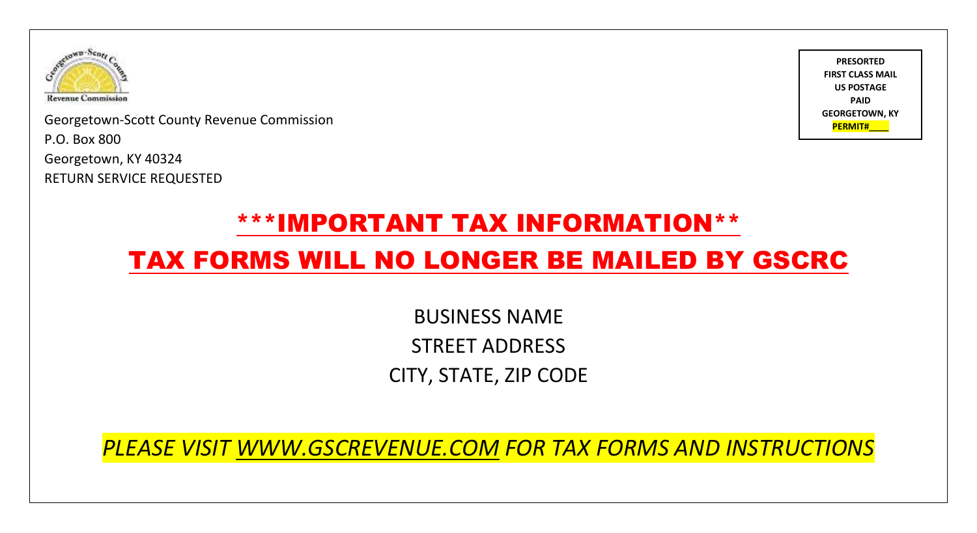

**PERMITH COUNTY REVENUE COMMISSION PERMITH COMMISSION** P.O. Box 800 Georgetown, KY 40324 RETURN SERVICE REQUESTED



## \*\*\*IMPORTANT TAX INFORMATION\*\*

## TAX FORMS WILL NO LONGER BE MAILED BY GSCRC

BUSINESS NAME STREET ADDRESS CITY, STATE, ZIP CODE

*PLEASE VISIT [WWW.GSCREVENUE.COM](http://www.gscrevenue.com/) FOR TAX FORMS AND INSTRUCTIONS*